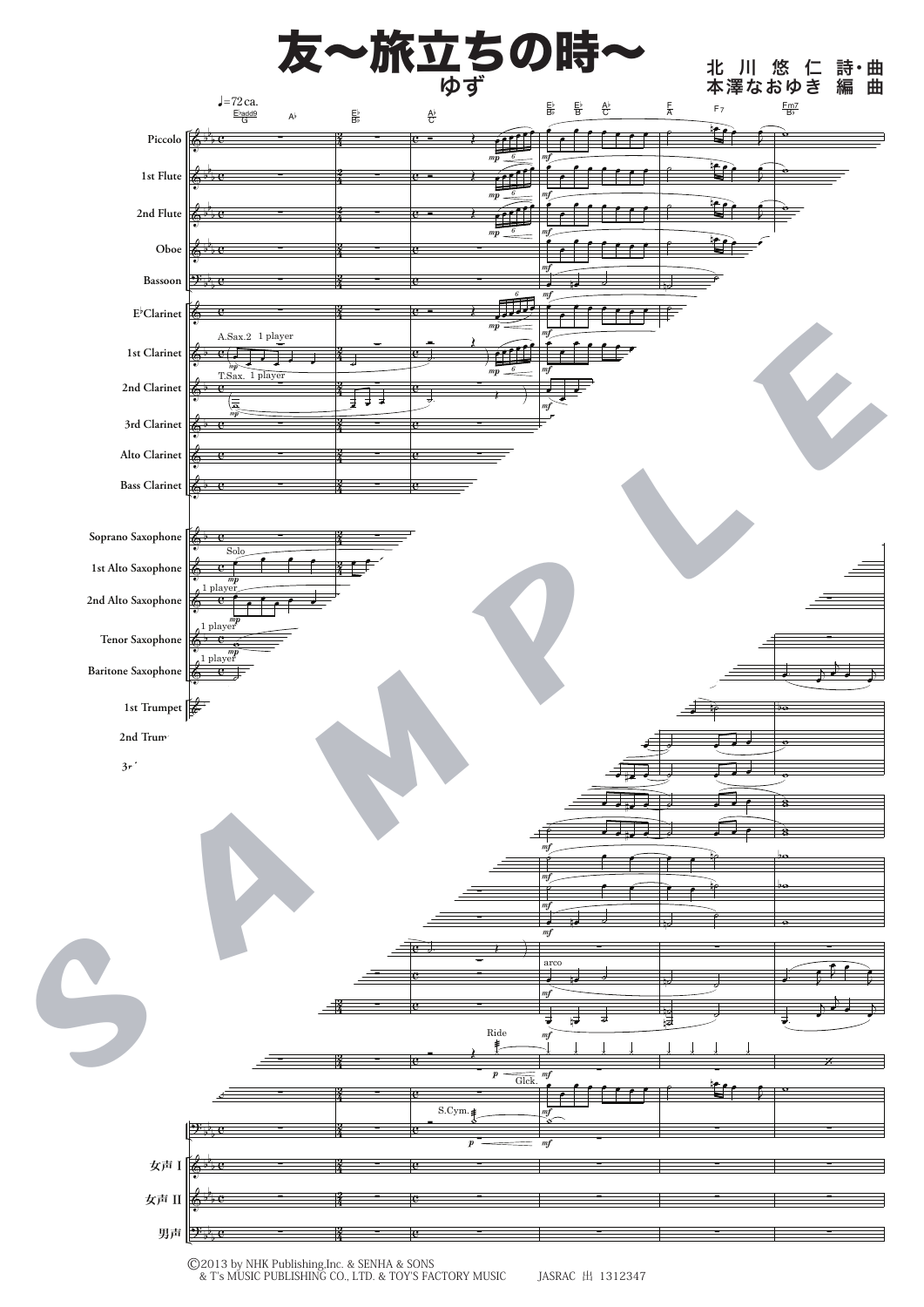

<sup>©2013</sup> by NHK Publishing,Inc. & SENHA & SONS & T's MUSIC PUBLISHING CO., LTD. & TOY'S FACTORY MUSIC JASRAC 出 1312347